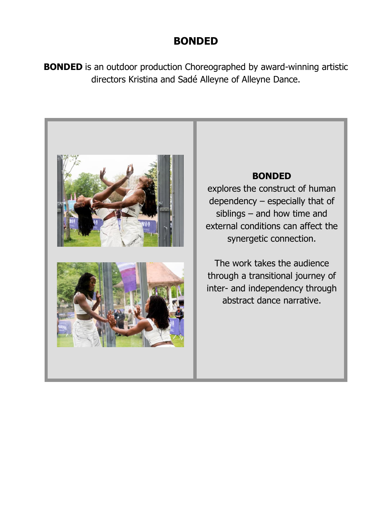#### **BONDED**

**BONDED** is an outdoor production Choreographed by award-winning artistic directors Kristina and Sadé Alleyne of Alleyne Dance.

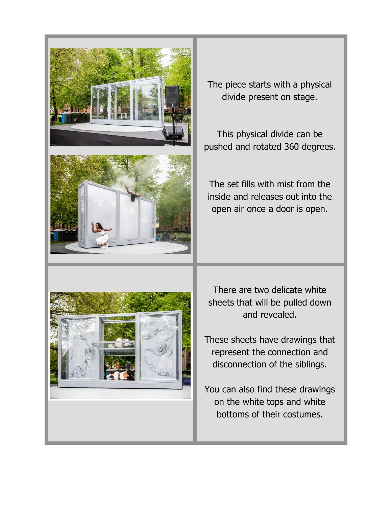

The piece starts with a physical divide present on stage.

This physical divide can be pushed and rotated 360 degrees.

The set fills with mist from the inside and releases out into the open air once a door is open.



There are two delicate white sheets that will be pulled down and revealed.

These sheets have drawings that represent the connection and disconnection of the siblings.

You can also find these drawings on the white tops and white bottoms of their costumes.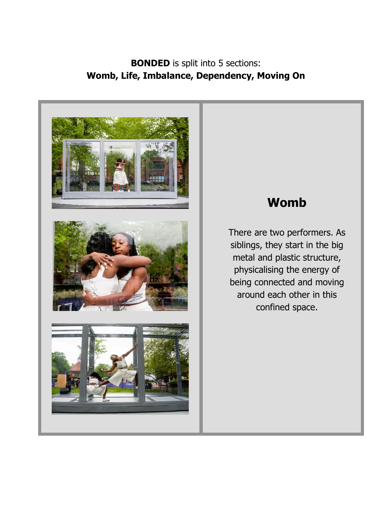#### **BONDED** is split into 5 sections: **Womb, Life, Imbalance, Dependency, Moving On**



#### **Womb**

There are two performers. As siblings, they start in the big metal and plastic structure, physicalising the energy of being connected and moving around each other in this confined space.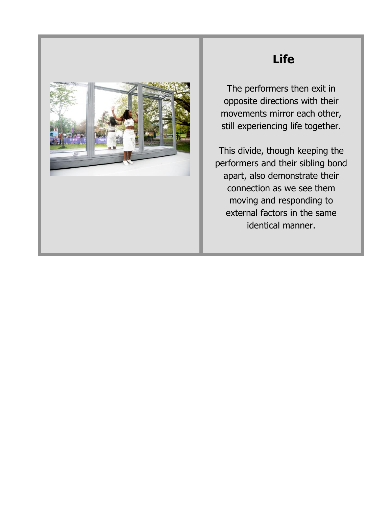

## **Life**

The performers then exit in opposite directions with their movements mirror each other, still experiencing life together.

This divide, though keeping the performers and their sibling bond apart, also demonstrate their connection as we see them moving and responding to external factors in the same identical manner.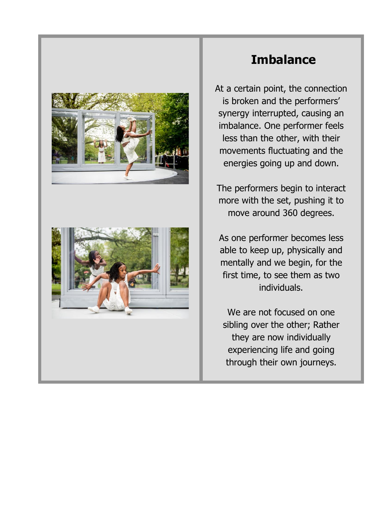



## **Imbalance**

At a certain point, the connection is broken and the performers' synergy interrupted, causing an imbalance. One performer feels less than the other, with their movements fluctuating and the energies going up and down.

The performers begin to interact more with the set, pushing it to move around 360 degrees.

As one performer becomes less able to keep up, physically and mentally and we begin, for the first time, to see them as two individuals.

We are not focused on one sibling over the other; Rather they are now individually experiencing life and going through their own journeys.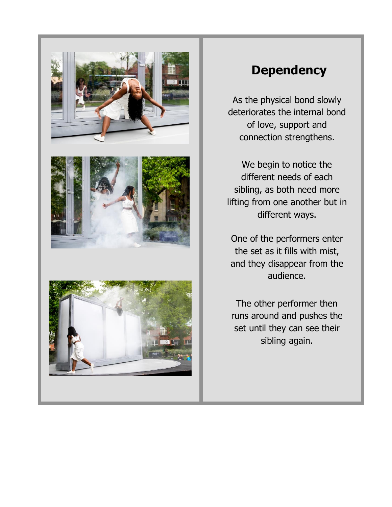

## **Dependency**

As the physical bond slowly deteriorates the internal bond of love, support and connection strengthens.

We begin to notice the different needs of each sibling, as both need more lifting from one another but in different ways.

One of the performers enter the set as it fills with mist, and they disappear from the audience.

The other performer then runs around and pushes the set until they can see their sibling again.